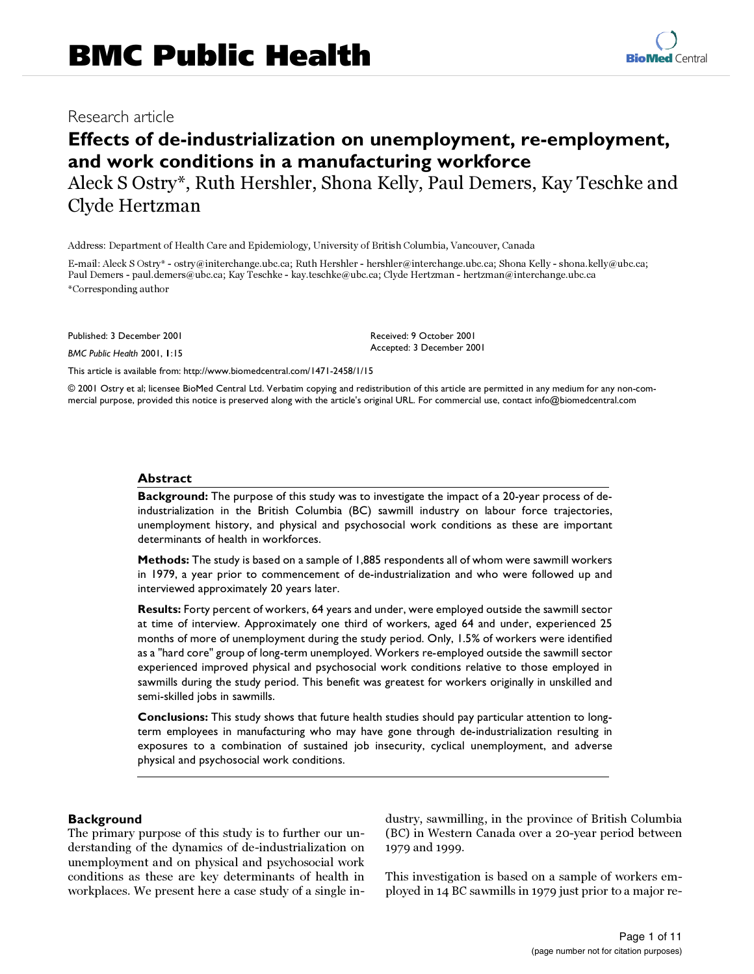# **Effects of de-industrialization on unemployment, re-employment, and work conditions in a manufacturing workforce**

Aleck S Ostry\*, Ruth Hershler, Shona Kelly, Paul Demers, Kay Teschke and Clyde Hertzman

Address: Department of Health Care and Epidemiology, University of British Columbia, Vancouver, Canada

E-mail: Aleck S Ostry\* - ostry@initerchange.ubc.ca; Ruth Hershler - hershler@interchange.ubc.ca; Shona Kelly - shona.kelly@ubc.ca; Paul Demers - paul.demers@ubc.ca; Kay Teschke - kay.teschke@ubc.ca; Clyde Hertzman - hertzman@interchange.ubc.ca \*Corresponding author

Published: 3 December 2001

*BMC Public Health* 2001, **1**:15

Received: 9 October 2001 Accepted: 3 December 2001

[This article is available from: http://www.biomedcentral.com/1471-2458/1/15](http://www.biomedcentral.com/1471-2458/1/15)

© 2001 Ostry et al; licensee BioMed Central Ltd. Verbatim copying and redistribution of this article are permitted in any medium for any non-commercial purpose, provided this notice is preserved along with the article's original URL. For commercial use, contact info@biomedcentral.com

#### **Abstract**

**Background:** The purpose of this study was to investigate the impact of a 20-year process of deindustrialization in the British Columbia (BC) sawmill industry on labour force trajectories, unemployment history, and physical and psychosocial work conditions as these are important determinants of health in workforces.

**Methods:** The study is based on a sample of 1,885 respondents all of whom were sawmill workers in 1979, a year prior to commencement of de-industrialization and who were followed up and interviewed approximately 20 years later.

**Results:** Forty percent of workers, 64 years and under, were employed outside the sawmill sector at time of interview. Approximately one third of workers, aged 64 and under, experienced 25 months of more of unemployment during the study period. Only, 1.5% of workers were identified as a "hard core" group of long-term unemployed. Workers re-employed outside the sawmill sector experienced improved physical and psychosocial work conditions relative to those employed in sawmills during the study period. This benefit was greatest for workers originally in unskilled and semi-skilled jobs in sawmills.

**Conclusions:** This study shows that future health studies should pay particular attention to longterm employees in manufacturing who may have gone through de-industrialization resulting in exposures to a combination of sustained job insecurity, cyclical unemployment, and adverse physical and psychosocial work conditions.

# **Background**

The primary purpose of this study is to further our understanding of the dynamics of de-industrialization on unemployment and on physical and psychosocial work conditions as these are key determinants of health in workplaces. We present here a case study of a single industry, sawmilling, in the province of British Columbia (BC) in Western Canada over a 20-year period between 1979 and 1999.

This investigation is based on a sample of workers employed in 14 BC sawmills in 1979 just prior to a major re-

**[BioMed](http://www.biomedcentral.com/)** Central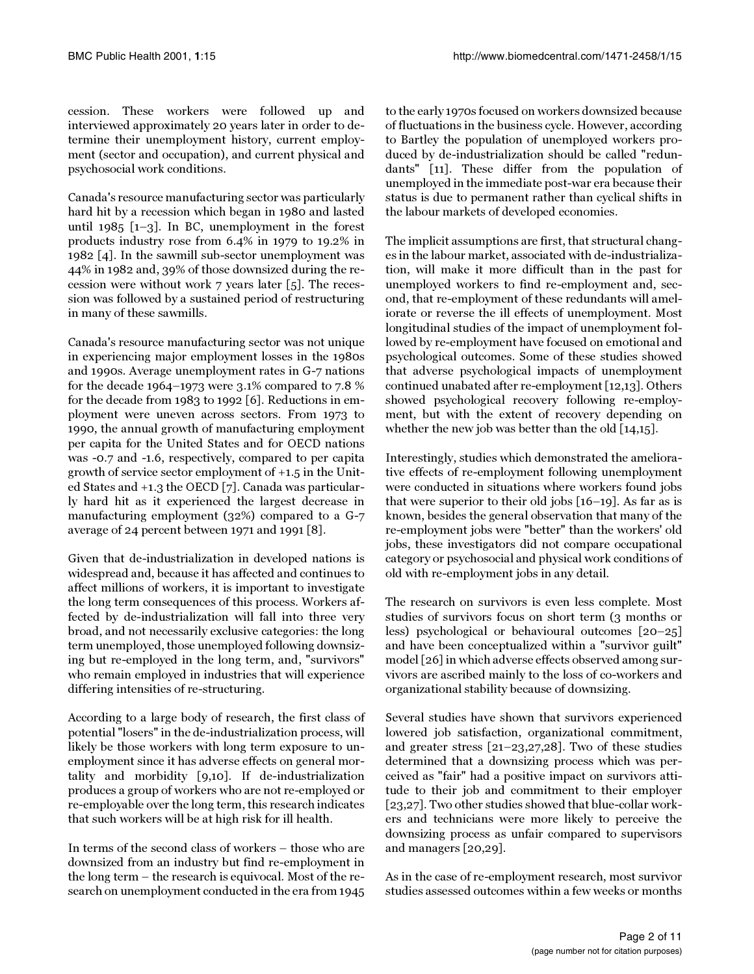cession. These workers were followed up and interviewed approximately 20 years later in order to determine their unemployment history, current employment (sector and occupation), and current physical and psychosocial work conditions.

Canada's resource manufacturing sector was particularly hard hit by a recession which began in 1980 and lasted until 1985  $[-3]$  $[-3]$  $[-3]$ . In BC, unemployment in the forest products industry rose from 6.4% in 1979 to 19.2% in 1982 [[4](#page-9-2)]. In the sawmill sub-sector unemployment was 44% in 1982 and, 39% of those downsized during the recession were without work 7 years later [\[5](#page-9-3)]. The recession was followed by a sustained period of restructuring in many of these sawmills.

Canada's resource manufacturing sector was not unique in experiencing major employment losses in the 1980s and 1990s. Average unemployment rates in G-7 nations for the decade 1964–1973 were 3.1% compared to 7.8 % for the decade from 1983 to 1992 [\[6](#page-9-4)]. Reductions in employment were uneven across sectors. From 1973 to 1990, the annual growth of manufacturing employment per capita for the United States and for OECD nations was -0.7 and -1.6, respectively, compared to per capita growth of service sector employment of +1.5 in the United States and +1.3 the OECD [[7\]](#page-9-5). Canada was particularly hard hit as it experienced the largest decrease in manufacturing employment (32%) compared to a G-7 average of 24 percent between 1971 and 1991 [[8](#page-9-6)].

Given that de-industrialization in developed nations is widespread and, because it has affected and continues to affect millions of workers, it is important to investigate the long term consequences of this process. Workers affected by de-industrialization will fall into three very broad, and not necessarily exclusive categories: the long term unemployed, those unemployed following downsizing but re-employed in the long term, and, "survivors" who remain employed in industries that will experience differing intensities of re-structuring.

According to a large body of research, the first class of potential "losers" in the de-industrialization process, will likely be those workers with long term exposure to unemployment since it has adverse effects on general mortality and morbidity [[9](#page-10-0),[10\]](#page-10-1). If de-industrialization produces a group of workers who are not re-employed or re-employable over the long term, this research indicates that such workers will be at high risk for ill health.

In terms of the second class of workers – those who are downsized from an industry but find re-employment in the long term – the research is equivocal. Most of the research on unemployment conducted in the era from 1945

to the early 1970s focused on workers downsized because of fluctuations in the business cycle. However, according to Bartley the population of unemployed workers produced by de-industrialization should be called "redundants" [[11\]](#page-10-2). These differ from the population of unemployed in the immediate post-war era because their status is due to permanent rather than cyclical shifts in the labour markets of developed economies.

The implicit assumptions are first, that structural changes in the labour market, associated with de-industrialization, will make it more difficult than in the past for unemployed workers to find re-employment and, second, that re-employment of these redundants will ameliorate or reverse the ill effects of unemployment. Most longitudinal studies of the impact of unemployment followed by re-employment have focused on emotional and psychological outcomes. Some of these studies showed that adverse psychological impacts of unemployment continued unabated after re-employment [[12](#page-10-3)[,13](#page-10-4)]. Others showed psychological recovery following re-employment, but with the extent of recovery depending on whether the new job was better than the old [[14](#page-10-5)[,15](#page-10-6)].

Interestingly, studies which demonstrated the ameliorative effects of re-employment following unemployment were conducted in situations where workers found jobs that were superior to their old jobs [[16](#page-10-7)[–19](#page-10-8)]. As far as is known, besides the general observation that many of the re-employment jobs were "better" than the workers' old jobs, these investigators did not compare occupational category or psychosocial and physical work conditions of old with re-employment jobs in any detail.

The research on survivors is even less complete. Most studies of survivors focus on short term (3 months or less) psychological or behavioural outcomes [\[20–](#page-10-9)[25](#page-10-10)] and have been conceptualized within a "survivor guilt" model [[26](#page-10-11)] in which adverse effects observed among survivors are ascribed mainly to the loss of co-workers and organizational stability because of downsizing.

Several studies have shown that survivors experienced lowered job satisfaction, organizational commitment, and greater stress [\[21](#page-10-12)[–23](#page-10-13),[27](#page-10-14),[28](#page-10-15)]. Two of these studies determined that a downsizing process which was perceived as "fair" had a positive impact on survivors attitude to their job and commitment to their employer [[23,](#page-10-13)[27\]](#page-10-14). Two other studies showed that blue-collar workers and technicians were more likely to perceive the downsizing process as unfair compared to supervisors and managers [[20](#page-10-9),[29\]](#page-10-16).

As in the case of re-employment research, most survivor studies assessed outcomes within a few weeks or months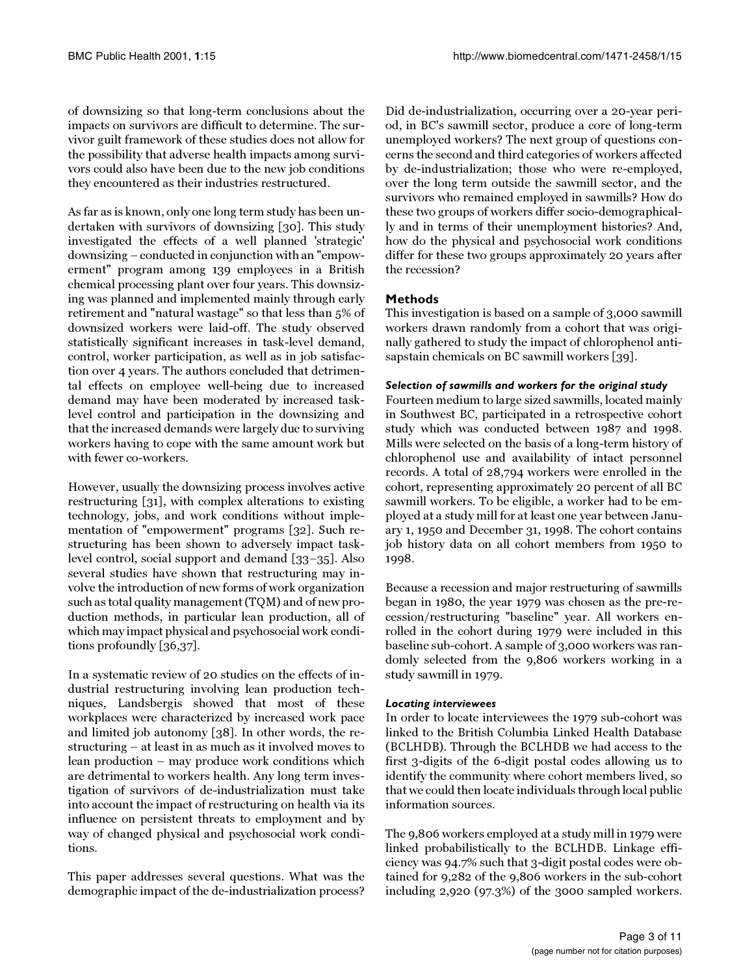of downsizing so that long-term conclusions about the impacts on survivors are difficult to determine. The survivor guilt framework of these studies does not allow for the possibility that adverse health impacts among survivors could also have been due to the new job conditions they encountered as their industries restructured.

As far as is known, only one long term study has been undertaken with survivors of downsizing [\[30\]](#page-10-17). This study investigated the effects of a well planned 'strategic' downsizing – conducted in conjunction with an "empowerment" program among 139 employees in a British chemical processing plant over four years. This downsizing was planned and implemented mainly through early retirement and "natural wastage" so that less than 5% of downsized workers were laid-off. The study observed statistically significant increases in task-level demand, control, worker participation, as well as in job satisfaction over 4 years. The authors concluded that detrimental effects on employee well-being due to increased demand may have been moderated by increased tasklevel control and participation in the downsizing and that the increased demands were largely due to surviving workers having to cope with the same amount work but with fewer co-workers.

However, usually the downsizing process involves active restructuring [\[31\]](#page-10-18), with complex alterations to existing technology, jobs, and work conditions without implementation of "empowerment" programs [\[32](#page-10-19)]. Such restructuring has been shown to adversely impact tasklevel control, social support and demand [\[33](#page-10-20)[–35](#page-10-21)]. Also several studies have shown that restructuring may involve the introduction of new forms of work organization such as total quality management (TQM) and of new production methods, in particular lean production, all of which may impact physical and psychosocial work conditions profoundly [[36,](#page-10-22)[37](#page-10-23)].

In a systematic review of 20 studies on the effects of industrial restructuring involving lean production techniques, Landsbergis showed that most of these workplaces were characterized by increased work pace and limited job autonomy [\[38](#page-10-24)]. In other words, the restructuring – at least in as much as it involved moves to lean production – may produce work conditions which are detrimental to workers health. Any long term investigation of survivors of de-industrialization must take into account the impact of restructuring on health via its influence on persistent threats to employment and by way of changed physical and psychosocial work conditions.

This paper addresses several questions. What was the demographic impact of the de-industrialization process?

Did de-industrialization, occurring over a 20-year period, in BC's sawmill sector, produce a core of long-term unemployed workers? The next group of questions concerns the second and third categories of workers affected by de-industrialization; those who were re-employed, over the long term outside the sawmill sector, and the survivors who remained employed in sawmills? How do these two groups of workers differ socio-demographically and in terms of their unemployment histories? And, how do the physical and psychosocial work conditions differ for these two groups approximately 20 years after the recession?

# **Methods**

This investigation is based on a sample of 3,000 sawmill workers drawn randomly from a cohort that was originally gathered to study the impact of chlorophenol antisapstain chemicals on BC sawmill workers [[39](#page-10-25)].

# *Selection of sawmills and workers for the original study*

Fourteen medium to large sized sawmills, located mainly in Southwest BC, participated in a retrospective cohort study which was conducted between 1987 and 1998. Mills were selected on the basis of a long-term history of chlorophenol use and availability of intact personnel records. A total of 28,794 workers were enrolled in the cohort, representing approximately 20 percent of all BC sawmill workers. To be eligible, a worker had to be employed at a study mill for at least one year between January 1, 1950 and December 31, 1998. The cohort contains job history data on all cohort members from 1950 to 1998.

Because a recession and major restructuring of sawmills began in 1980, the year 1979 was chosen as the pre-recession/restructuring "baseline" year. All workers enrolled in the cohort during 1979 were included in this baseline sub-cohort. A sample of 3,000 workers was randomly selected from the 9,806 workers working in a study sawmill in 1979.

# *Locating interviewees*

In order to locate interviewees the 1979 sub-cohort was linked to the British Columbia Linked Health Database (BCLHDB). Through the BCLHDB we had access to the first 3-digits of the 6-digit postal codes allowing us to identify the community where cohort members lived, so that we could then locate individuals through local public information sources.

The 9,806 workers employed at a study mill in 1979 were linked probabilistically to the BCLHDB. Linkage efficiency was 94.7% such that 3-digit postal codes were obtained for 9,282 of the 9,806 workers in the sub-cohort including 2,920 (97.3%) of the 3000 sampled workers.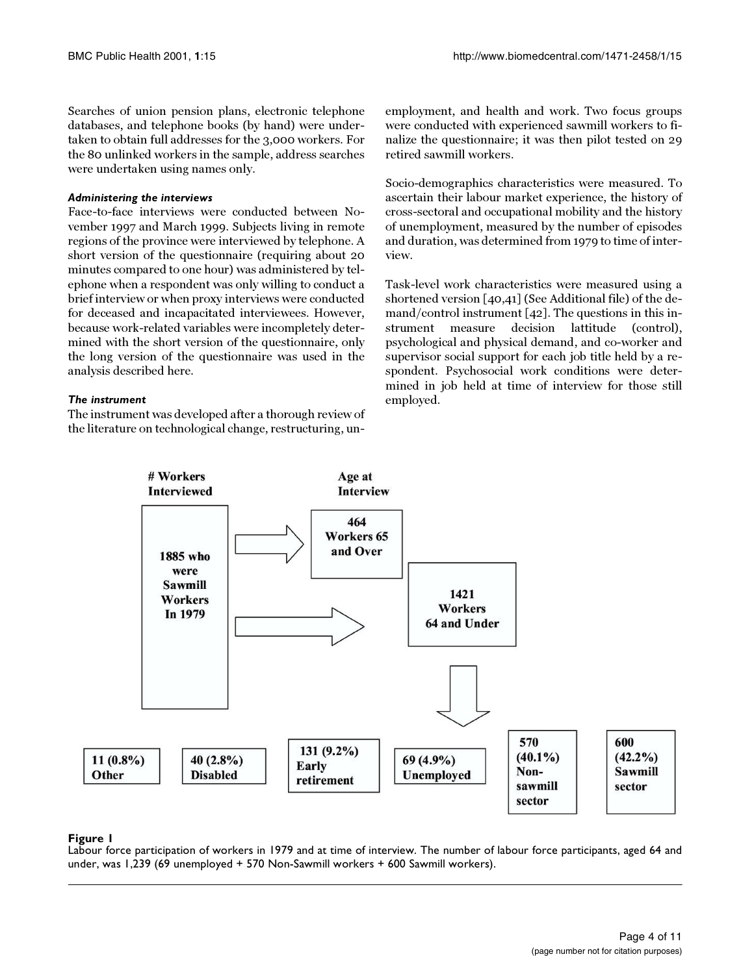Searches of union pension plans, electronic telephone databases, and telephone books (by hand) were undertaken to obtain full addresses for the 3,000 workers. For the 80 unlinked workers in the sample, address searches were undertaken using names only.

#### *Administering the interviews*

Face-to-face interviews were conducted between November 1997 and March 1999. Subjects living in remote regions of the province were interviewed by telephone. A short version of the questionnaire (requiring about 20 minutes compared to one hour) was administered by telephone when a respondent was only willing to conduct a brief interview or when proxy interviews were conducted for deceased and incapacitated interviewees. However, because work-related variables were incompletely determined with the short version of the questionnaire, only the long version of the questionnaire was used in the analysis described here.

#### *The instrument*

The instrument was developed after a thorough review of the literature on technological change, restructuring, unemployment, and health and work. Two focus groups were conducted with experienced sawmill workers to finalize the questionnaire; it was then pilot tested on 29 retired sawmill workers.

Socio-demographics characteristics were measured. To ascertain their labour market experience, the history of cross-sectoral and occupational mobility and the history of unemployment, measured by the number of episodes and duration, was determined from 1979 to time of interview.

Task-level work characteristics were measured using a shortened version [\[40,](#page-10-26)[41](#page-10-27)] (See Additional file) of the demand/control instrument [\[42](#page-10-28)]. The questions in this instrument measure decision lattitude (control), psychological and physical demand, and co-worker and supervisor social support for each job title held by a respondent. Psychosocial work conditions were determined in job held at time of interview for those still employed.



# **Figure 1**

Labour force participation of workers in 1979 and at time of interview. The number of labour force participants, aged 64 and under, was 1,239 (69 unemployed + 570 Non-Sawmill workers + 600 Sawmill workers).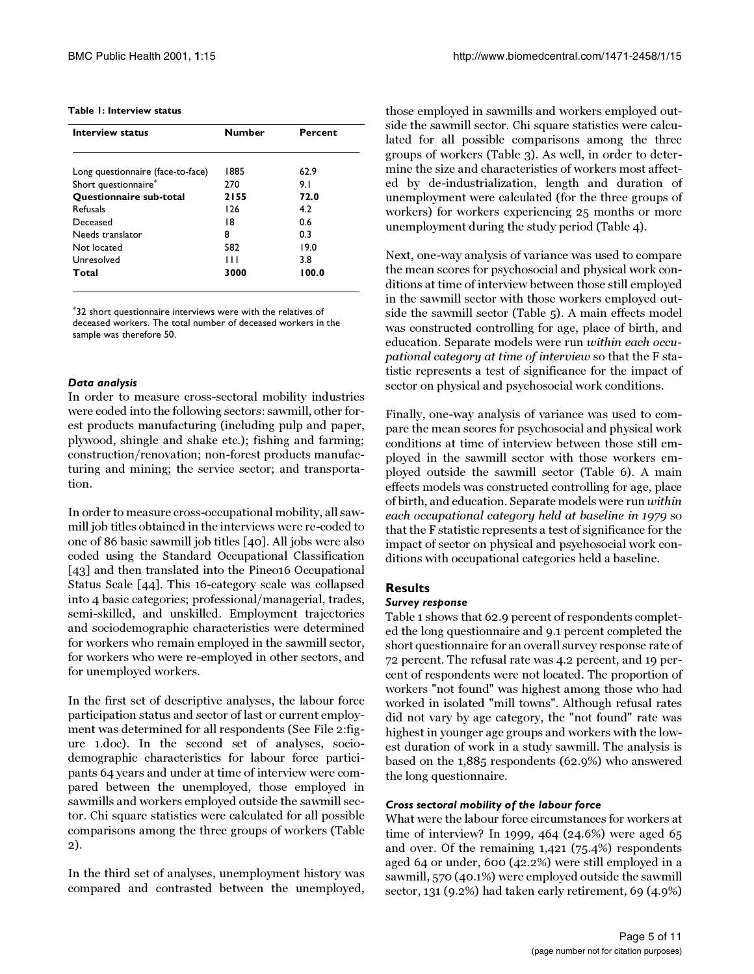#### **Table 1: Interview status**

| <b>Interview status</b>           | <b>Number</b> | Percent |
|-----------------------------------|---------------|---------|
|                                   |               |         |
| Long questionnaire (face-to-face) | 1885          | 62.9    |
| Short questionnaire*              | 270           | 9.1     |
| <b>Ouestionnaire sub-total</b>    | 2155          | 72.0    |
| <b>Refusals</b>                   | 126           | 4.2     |
| Deceased                          | 18            | 0.6     |
| Needs translator                  | 8             | 0.3     |
| Not located                       | 582           | 19.0    |
| Unresolved                        | Ш             | 3.8     |
| Total                             | 3000          | 100.0   |
|                                   |               |         |

\*32 short questionnaire interviews were with the relatives of deceased workers. The total number of deceased workers in the sample was therefore 50.

#### *Data analysis*

In order to measure cross-sectoral mobility industries were coded into the following sectors: sawmill, other forest products manufacturing (including pulp and paper, plywood, shingle and shake etc.); fishing and farming; construction/renovation; non-forest products manufacturing and mining; the service sector; and transportation.

In order to measure cross-occupational mobility, all sawmill job titles obtained in the interviews were re-coded to one of 86 basic sawmill job titles [\[40\]](#page-10-26). All jobs were also coded using the Standard Occupational Classification [[43\]](#page-10-29) and then translated into the Pineo16 Occupational Status Scale [\[44](#page-10-30)]. This 16-category scale was collapsed into 4 basic categories; professional/managerial, trades, semi-skilled, and unskilled. Employment trajectories and sociodemographic characteristics were determined for workers who remain employed in the sawmill sector, for workers who were re-employed in other sectors, and for unemployed workers.

In the first set of descriptive analyses, the labour force participation status and sector of last or current employment was determined for all respondents (See File 2:figure 1.doc). In the second set of analyses, sociodemographic characteristics for labour force participants 64 years and under at time of interview were compared between the unemployed, those employed in sawmills and workers employed outside the sawmill sector. Chi square statistics were calculated for all possible comparisons among the three groups of workers (Table 2).

In the third set of analyses, unemployment history was compared and contrasted between the unemployed, those employed in sawmills and workers employed outside the sawmill sector. Chi square statistics were calculated for all possible comparisons among the three groups of workers (Table 3). As well, in order to determine the size and characteristics of workers most affected by de-industrialization, length and duration of unemployment were calculated (for the three groups of workers) for workers experiencing 25 months or more unemployment during the study period (Table 4).

Next, one-way analysis of variance was used to compare the mean scores for psychosocial and physical work conditions at time of interview between those still employed in the sawmill sector with those workers employed outside the sawmill sector (Table 5). A main effects model was constructed controlling for age, place of birth, and education. Separate models were run within each occupational category at time of interview so that the F statistic represents a test of significance for the impact of sector on physical and psychosocial work conditions.

Finally, one-way analysis of variance was used to compare the mean scores for psychosocial and physical work conditions at time of interview between those still employed in the sawmill sector with those workers employed outside the sawmill sector (Table 6). A main effects models was constructed controlling for age, place of birth, and education. Separate models were run within each occupational category held at baseline in 1979 so that the F statistic represents a test of significance for the impact of sector on physical and psychosocial work conditions with occupational categories held a baseline.

# **Results**

#### *Survey response*

Table 1 shows that 62.9 percent of respondents completed the long questionnaire and 9.1 percent completed the short questionnaire for an overall survey response rate of 72 percent. The refusal rate was 4.2 percent, and 19 percent of respondents were not located. The proportion of workers "not found" was highest among those who had worked in isolated "mill towns". Although refusal rates did not vary by age category, the "not found" rate was highest in younger age groups and workers with the lowest duration of work in a study sawmill. The analysis is based on the 1,885 respondents (62.9%) who answered the long questionnaire.

#### *Cross sectoral mobility of the labour force*

What were the labour force circumstances for workers at time of interview? In 1999, 464 (24.6%) were aged 65 and over. Of the remaining 1,421 (75.4%) respondents aged 64 or under, 600 (42.2%) were still employed in a sawmill, 570 (40.1%) were employed outside the sawmill sector, 131 (9.2%) had taken early retirement, 69 (4.9%)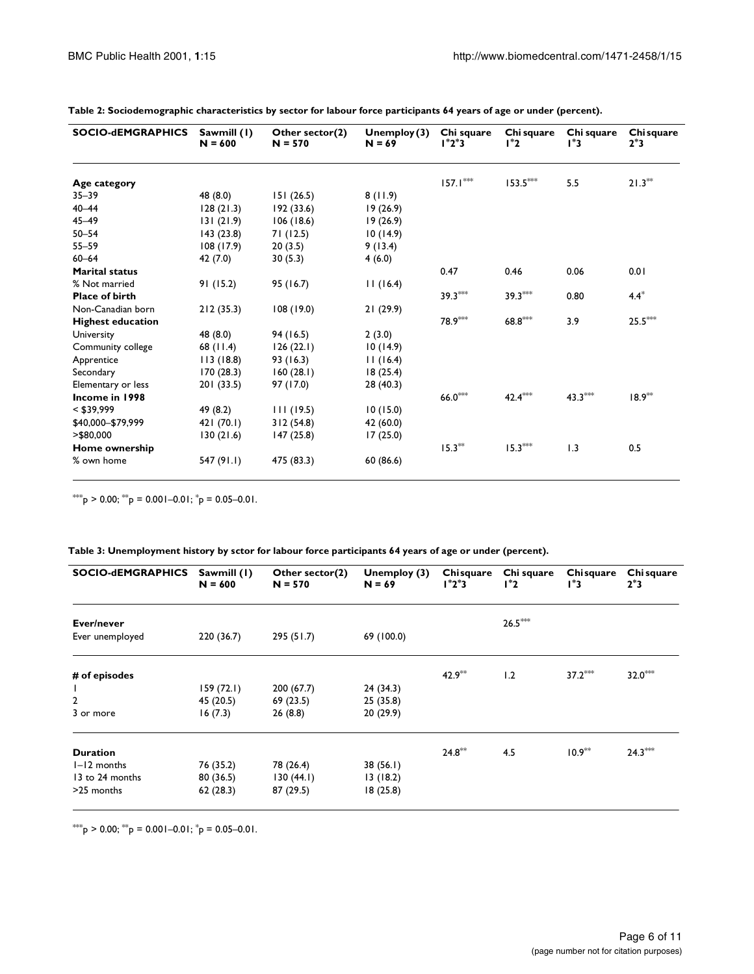| <b>SOCIO-dEMGRAPHICS</b> | Sawmill (1)<br>$N = 600$ | Other sector(2)<br>$N = 570$ | Unemploy $(3)$<br>$N = 69$ | Chi square<br>$1^*2^*3$ | Chi square<br>$1^*2$ | Chi square<br>l*3 | Chi square<br>$2^*3$ |
|--------------------------|--------------------------|------------------------------|----------------------------|-------------------------|----------------------|-------------------|----------------------|
| Age category             |                          |                              |                            | $157.1***$              | $153.5***$           | 5.5               | $21.3**$             |
| $35 - 39$                | 48 (8.0)                 | 151(26.5)                    | 8(11.9)                    |                         |                      |                   |                      |
| $40 - 44$                | 128(21.3)                | 192(33.6)                    | 19(26.9)                   |                         |                      |                   |                      |
| $45 - 49$                | 131(21.9)                | 106(18.6)                    | 19(26.9)                   |                         |                      |                   |                      |
| $50 - 54$                | 143(23.8)                | 71(12.5)                     | 10(14.9)                   |                         |                      |                   |                      |
| $55 - 59$                | 108 (17.9)               | 20(3.5)                      | 9(13.4)                    |                         |                      |                   |                      |
| $60 - 64$                | 42 (7.0)                 | 30(5.3)                      | 4(6.0)                     |                         |                      |                   |                      |
| <b>Marital status</b>    |                          |                              |                            | 0.47                    | 0.46                 | 0.06              | 0.01                 |
| % Not married            | 91(15.2)                 | 95 (16.7)                    | 11(16.4)                   |                         |                      |                   |                      |
| <b>Place of birth</b>    |                          |                              |                            | $39.3***$               | $39.3***$            | 0.80              | $4.4*$               |
| Non-Canadian born        | 212(35.3)                | 108(19.0)                    | 21(29.9)                   |                         |                      |                   |                      |
| <b>Highest education</b> |                          |                              |                            | 78.9***                 | $68.8***$            | 3.9               | $25.5***$            |
| University               | 48 (8.0)                 | 94 (16.5)                    | 2(3.0)                     |                         |                      |                   |                      |
| Community college        | 68 (11.4)                | 126(22.1)                    | 10(14.9)                   |                         |                      |                   |                      |
| Apprentice               | 113 (18.8)               | 93 (16.3)                    | 11(16.4)                   |                         |                      |                   |                      |
| Secondary                | 170(28.3)                | 160(28.1)                    | 18(25.4)                   |                         |                      |                   |                      |
| Elementary or less       | 201 (33.5)               | 97 (17.0)                    | 28 (40.3)                  |                         |                      |                   |                      |
| Income in 1998           |                          |                              |                            | $66.0***$               | $42.4***$            | $43.3***$         | $18.9***$            |
| $<$ \$39,999             | 49 (8.2)                 | 111(19.5)                    | 10(15.0)                   |                         |                      |                   |                      |
| \$40,000-\$79,999        | 421 (70.1)               | 312(54.8)                    | 42 (60.0)                  |                         |                      |                   |                      |
| $>$ \$80,000             | 130(21.6)                | 147 (25.8)                   | 17(25.0)                   |                         |                      |                   |                      |
| Home ownership           |                          |                              |                            | $15.3**$                | $15.3***$            | 1.3               | 0.5                  |
| % own home               | 547 (91.1)               | 475 (83.3)                   | 60 (86.6)                  |                         |                      |                   |                      |

**Table 2: Sociodemographic characteristics by sector for labour force participants 64 years of age or under (percent).**

\*\*\*  $p > 0.00$ ; \*\*  $p = 0.001 - 0.01$ ;  $p = 0.05 - 0.01$ .

| Table 3: Unemployment history by sctor for labour force participants 64 years of age or under (percent). |  |  |  |  |  |
|----------------------------------------------------------------------------------------------------------|--|--|--|--|--|
|                                                                                                          |  |  |  |  |  |

| <b>SOCIO-dEMGRAPHICS</b> | Sawmill (1)<br>$N = 600$ | Other sector(2)<br>$N = 570$ | Unemploy (3)<br>$N = 69$ | Chisquare<br>l*2*3 | Chi square<br>$1^*2$ | Chisquare<br>3* ا | Chi square<br>$2*3$ |
|--------------------------|--------------------------|------------------------------|--------------------------|--------------------|----------------------|-------------------|---------------------|
| Ever/never               |                          |                              |                          |                    | $26.5***$            |                   |                     |
| Ever unemployed          | 220 (36.7)               | 295(51.7)                    | 69 (100.0)               |                    |                      |                   |                     |
| # of episodes            |                          |                              |                          | $42.9***$          | 1.2                  | $37.2***$         | $32.0***$           |
|                          | 159(72.1)                | 200(67.7)                    | 24(34.3)                 |                    |                      |                   |                     |
| $\overline{2}$           | 45 (20.5)                | 69 (23.5)                    | 25 (35.8)                |                    |                      |                   |                     |
| 3 or more                | 16(7.3)                  | 26(8.8)                      | 20 (29.9)                |                    |                      |                   |                     |
| <b>Duration</b>          |                          |                              |                          | $24.8***$          | 4.5                  | $10.9***$         | $24.3***$           |
| $I-I2$ months            | 76 (35.2)                | 78 (26.4)                    | 38(56.1)                 |                    |                      |                   |                     |
| 13 to 24 months          | 80 (36.5)                | 130(44.1)                    | 13(18.2)                 |                    |                      |                   |                     |
| >25 months               | 62(28.3)                 | 87 (29.5)                    | 18(25.8)                 |                    |                      |                   |                     |

\*\*\* $p > 0.00$ ; \*\* $p = 0.001 - 0.01$ ; \* $p = 0.05 - 0.01$ .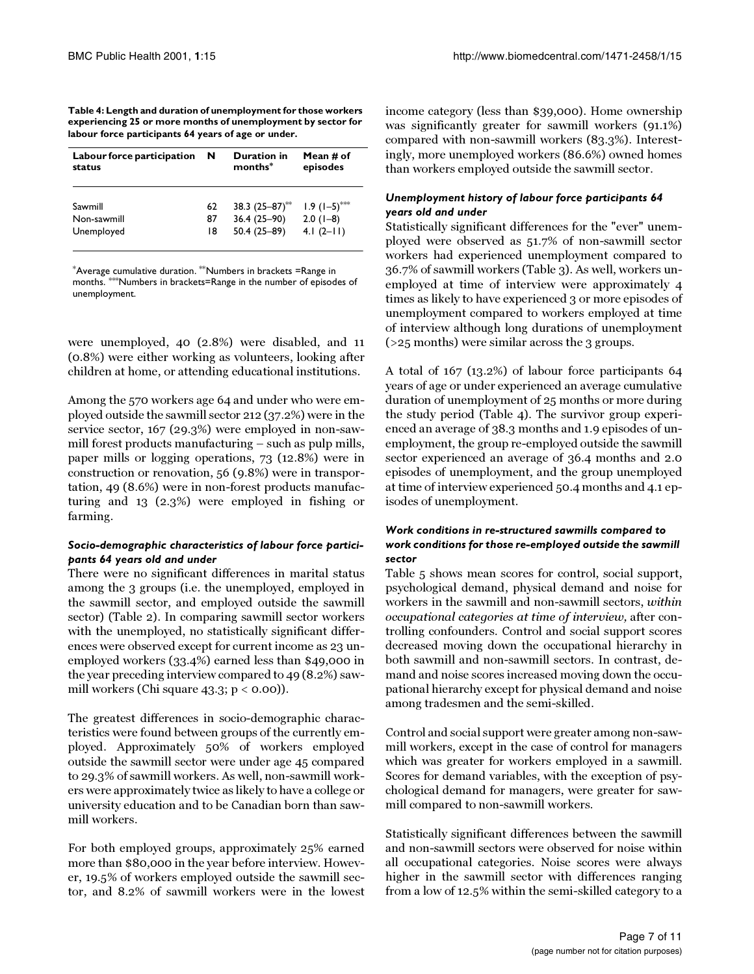**Table 4: Length and duration of unemployment for those workers experiencing 25 or more months of unemployment by sector for labour force participants 64 years of age or under.**

| Labour force participation | N  | <b>Duration in</b>  | Mean # of                    |  |
|----------------------------|----|---------------------|------------------------------|--|
| status                     |    | months <sup>*</sup> | episodes                     |  |
| Sawmill                    | 62 | 38.3 $(25-87)$ **   | $1.9$ $(1-5)$ <sup>***</sup> |  |
| Non-sawmill                | 87 | $36.4(25-90)$       | $2.0(1-8)$                   |  |
| Unemployed                 | 18 | 50.4 (25-89)        | $4.1(2-11)$                  |  |

\*Average cumulative duration. \*\*Numbers in brackets =Range in months. \*\*\*Numbers in brackets=Range in the number of episodes of unemployment.

were unemployed, 40 (2.8%) were disabled, and 11 (0.8%) were either working as volunteers, looking after children at home, or attending educational institutions.

Among the 570 workers age 64 and under who were employed outside the sawmill sector 212 (37.2%) were in the service sector, 167 (29.3%) were employed in non-sawmill forest products manufacturing – such as pulp mills, paper mills or logging operations, 73 (12.8%) were in construction or renovation, 56 (9.8%) were in transportation, 49 (8.6%) were in non-forest products manufacturing and 13 (2.3%) were employed in fishing or farming.

# *Socio-demographic characteristics of labour force participants 64 years old and under*

There were no significant differences in marital status among the 3 groups (i.e. the unemployed, employed in the sawmill sector, and employed outside the sawmill sector) (Table 2). In comparing sawmill sector workers with the unemployed, no statistically significant differences were observed except for current income as 23 unemployed workers (33.4%) earned less than \$49,000 in the year preceding interview compared to 49 (8.2%) sawmill workers (Chi square 43.3;  $p < 0.00$ )).

The greatest differences in socio-demographic characteristics were found between groups of the currently employed. Approximately 50% of workers employed outside the sawmill sector were under age 45 compared to 29.3% of sawmill workers. As well, non-sawmill workers were approximately twice as likely to have a college or university education and to be Canadian born than sawmill workers.

For both employed groups, approximately 25% earned more than \$80,000 in the year before interview. However, 19.5% of workers employed outside the sawmill sector, and 8.2% of sawmill workers were in the lowest income category (less than \$39,000). Home ownership was significantly greater for sawmill workers (91.1%) compared with non-sawmill workers (83.3%). Interestingly, more unemployed workers (86.6%) owned homes than workers employed outside the sawmill sector.

### *Unemployment history of labour force participants 64 years old and under*

Statistically significant differences for the "ever" unemployed were observed as 51.7% of non-sawmill sector workers had experienced unemployment compared to 36.7% of sawmill workers (Table 3). As well, workers unemployed at time of interview were approximately 4 times as likely to have experienced 3 or more episodes of unemployment compared to workers employed at time of interview although long durations of unemployment (>25 months) were similar across the 3 groups.

A total of 167 (13.2%) of labour force participants 64 years of age or under experienced an average cumulative duration of unemployment of 25 months or more during the study period (Table 4). The survivor group experienced an average of 38.3 months and 1.9 episodes of unemployment, the group re-employed outside the sawmill sector experienced an average of 36.4 months and 2.0 episodes of unemployment, and the group unemployed at time of interview experienced 50.4 months and 4.1 episodes of unemployment.

# *Work conditions in re-structured sawmills compared to work conditions for those re-employed outside the sawmill sector*

Table 5 shows mean scores for control, social support, psychological demand, physical demand and noise for workers in the sawmill and non-sawmill sectors, within occupational categories at time of interview, after controlling confounders. Control and social support scores decreased moving down the occupational hierarchy in both sawmill and non-sawmill sectors. In contrast, demand and noise scores increased moving down the occupational hierarchy except for physical demand and noise among tradesmen and the semi-skilled.

Control and social support were greater among non-sawmill workers, except in the case of control for managers which was greater for workers employed in a sawmill. Scores for demand variables, with the exception of psychological demand for managers, were greater for sawmill compared to non-sawmill workers.

Statistically significant differences between the sawmill and non-sawmill sectors were observed for noise within all occupational categories. Noise scores were always higher in the sawmill sector with differences ranging from a low of 12.5% within the semi-skilled category to a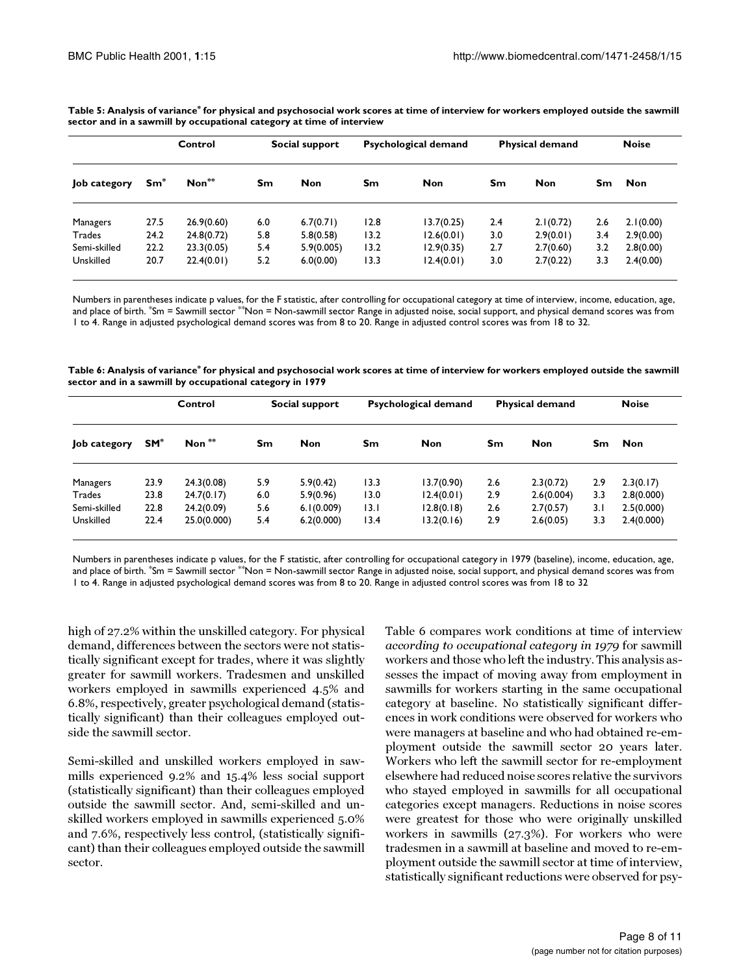|              | Control |                     | Social support |            |      | Psychological demand |     | <b>Physical demand</b> |     | <b>Noise</b> |  |
|--------------|---------|---------------------|----------------|------------|------|----------------------|-----|------------------------|-----|--------------|--|
| Job category | $Sm^*$  | $\mathsf{Non}^{**}$ | Sm             | <b>Non</b> | Sm   | <b>Non</b>           | Sm  | <b>Non</b>             | Sm. | <b>Non</b>   |  |
| Managers     | 27.5    | 26.9(0.60)          | 6.0            | 6.7(0.71)  | 12.8 | 13.7(0.25)           | 2.4 | 2.1(0.72)              | 2.6 | 2.1(0.00)    |  |
| Trades       | 24.2    | 24.8(0.72)          | 5.8            | 5.8(0.58)  | 13.2 | 12.6(0.01)           | 3.0 | 2.9(0.01)              | 3.4 | 2.9(0.00)    |  |
| Semi-skilled | 22.2    | 23.3(0.05)          | 5.4            | 5.9(0.005) | 13.2 | 12.9(0.35)           | 2.7 | 2.7(0.60)              | 3.2 | 2.8(0.00)    |  |
| Unskilled    | 20.7    | 22.4(0.01)          | 5.2            | 6.0(0.00)  | 13.3 | 12.4(0.01)           | 3.0 | 2.7(0.22)              | 3.3 | 2.4(0.00)    |  |

**Table 5: Analysis of variance\* for physical and psychosocial work scores at time of interview for workers employed outside the sawmill sector and in a sawmill by occupational category at time of interview**

Numbers in parentheses indicate p values, for the F statistic, after controlling for occupational category at time of interview, income, education, age, and place of birth. \*Sm = Sawmill sector \*\*Non = Non-sawmill sector Range in adjusted noise, social support, and physical demand scores was from 1 to 4. Range in adjusted psychological demand scores was from 8 to 20. Range in adjusted control scores was from 18 to 32.

**Table 6: Analysis of variance\* for physical and psychosocial work scores at time of interview for workers employed outside the sawmill sector and in a sawmill by occupational category in 1979**

|              | Control               |             | Social support |            | Psychological demand |            | <b>Physical demand</b> |            |     | <b>Noise</b> |  |
|--------------|-----------------------|-------------|----------------|------------|----------------------|------------|------------------------|------------|-----|--------------|--|
| Job category | <b>SM<sup>*</sup></b> | Non $**$    | Sm             | <b>Non</b> | Sm                   | <b>Non</b> | Sm                     | <b>Non</b> | Sm  | <b>Non</b>   |  |
| Managers     | 23.9                  | 24.3(0.08)  | 5.9            | 5.9(0.42)  | 13.3                 | 13.7(0.90) | 2.6                    | 2.3(0.72)  | 2.9 | 2.3(0.17)    |  |
| Trades       | 23.8                  | 24.7(0.17)  | 6.0            | 5.9(0.96)  | 13.0                 | 12.4(0.01) | 2.9                    | 2.6(0.004) | 3.3 | 2.8(0.000)   |  |
| Semi-skilled | 22.8                  | 24.2(0.09)  | 5.6            | 6.1(0.009) | 13. I                | 12.8(0.18) | 2.6                    | 2.7(0.57)  | 3.1 | 2.5(0.000)   |  |
| Unskilled    | 22.4                  | 25.0(0.000) | 5.4            | 6.2(0.000) | 13.4                 | 13.2(0.16) | 2.9                    | 2.6(0.05)  | 3.3 | 2.4(0.000)   |  |

Numbers in parentheses indicate p values, for the F statistic, after controlling for occupational category in 1979 (baseline), income, education, age, and place of birth. \*Sm = Sawmill sector \*\*Non = Non-sawmill sector Range in adjusted noise, social support, and physical demand scores was from 1 to 4. Range in adjusted psychological demand scores was from 8 to 20. Range in adjusted control scores was from 18 to 32

high of 27.2% within the unskilled category. For physical demand, differences between the sectors were not statistically significant except for trades, where it was slightly greater for sawmill workers. Tradesmen and unskilled workers employed in sawmills experienced 4.5% and 6.8%, respectively, greater psychological demand (statistically significant) than their colleagues employed outside the sawmill sector.

Semi-skilled and unskilled workers employed in sawmills experienced 9.2% and 15.4% less social support (statistically significant) than their colleagues employed outside the sawmill sector. And, semi-skilled and unskilled workers employed in sawmills experienced 5.0% and 7.6%, respectively less control, (statistically significant) than their colleagues employed outside the sawmill sector.

Table 6 compares work conditions at time of interview according to occupational category in 1979 for sawmill workers and those who left the industry. This analysis assesses the impact of moving away from employment in sawmills for workers starting in the same occupational category at baseline. No statistically significant differences in work conditions were observed for workers who were managers at baseline and who had obtained re-employment outside the sawmill sector 20 years later. Workers who left the sawmill sector for re-employment elsewhere had reduced noise scores relative the survivors who stayed employed in sawmills for all occupational categories except managers. Reductions in noise scores were greatest for those who were originally unskilled workers in sawmills (27.3%). For workers who were tradesmen in a sawmill at baseline and moved to re-employment outside the sawmill sector at time of interview, statistically significant reductions were observed for psy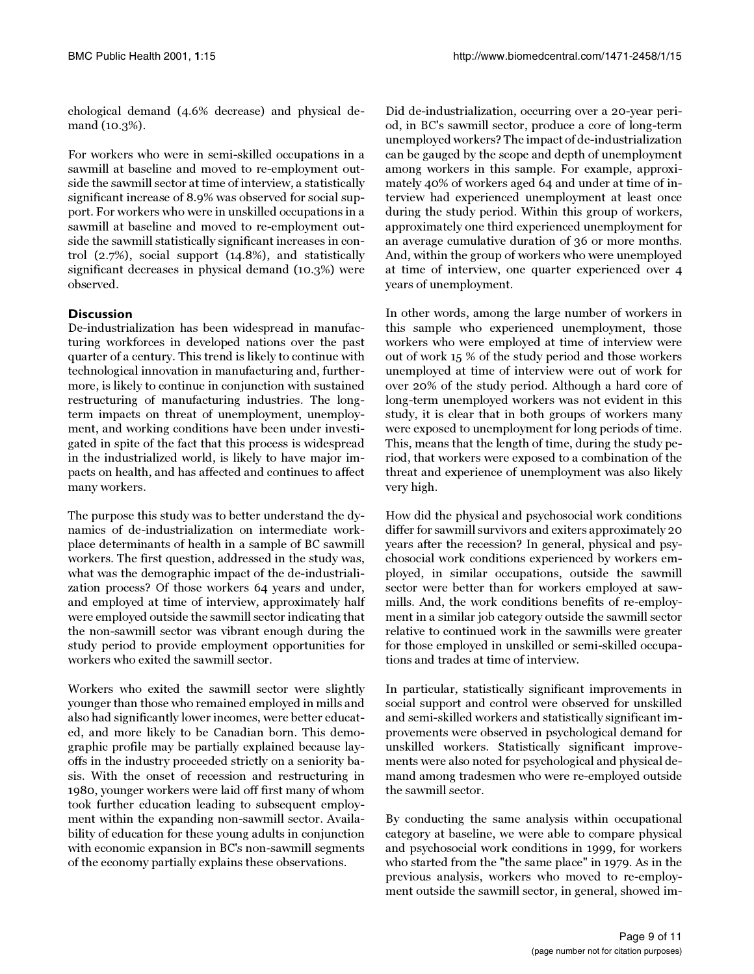chological demand (4.6% decrease) and physical demand (10.3%).

For workers who were in semi-skilled occupations in a sawmill at baseline and moved to re-employment outside the sawmill sector at time of interview, a statistically significant increase of 8.9% was observed for social support. For workers who were in unskilled occupations in a sawmill at baseline and moved to re-employment outside the sawmill statistically significant increases in control (2.7%), social support (14.8%), and statistically significant decreases in physical demand (10.3%) were observed.

# **Discussion**

De-industrialization has been widespread in manufacturing workforces in developed nations over the past quarter of a century. This trend is likely to continue with technological innovation in manufacturing and, furthermore, is likely to continue in conjunction with sustained restructuring of manufacturing industries. The longterm impacts on threat of unemployment, unemployment, and working conditions have been under investigated in spite of the fact that this process is widespread in the industrialized world, is likely to have major impacts on health, and has affected and continues to affect many workers.

The purpose this study was to better understand the dynamics of de-industrialization on intermediate workplace determinants of health in a sample of BC sawmill workers. The first question, addressed in the study was, what was the demographic impact of the de-industrialization process? Of those workers 64 years and under, and employed at time of interview, approximately half were employed outside the sawmill sector indicating that the non-sawmill sector was vibrant enough during the study period to provide employment opportunities for workers who exited the sawmill sector.

Workers who exited the sawmill sector were slightly younger than those who remained employed in mills and also had significantly lower incomes, were better educated, and more likely to be Canadian born. This demographic profile may be partially explained because layoffs in the industry proceeded strictly on a seniority basis. With the onset of recession and restructuring in 1980, younger workers were laid off first many of whom took further education leading to subsequent employment within the expanding non-sawmill sector. Availability of education for these young adults in conjunction with economic expansion in BC's non-sawmill segments of the economy partially explains these observations.

Did de-industrialization, occurring over a 20-year period, in BC's sawmill sector, produce a core of long-term unemployed workers? The impact of de-industrialization can be gauged by the scope and depth of unemployment among workers in this sample. For example, approximately 40% of workers aged 64 and under at time of interview had experienced unemployment at least once during the study period. Within this group of workers, approximately one third experienced unemployment for an average cumulative duration of 36 or more months. And, within the group of workers who were unemployed at time of interview, one quarter experienced over 4 years of unemployment.

In other words, among the large number of workers in this sample who experienced unemployment, those workers who were employed at time of interview were out of work 15 % of the study period and those workers unemployed at time of interview were out of work for over 20% of the study period. Although a hard core of long-term unemployed workers was not evident in this study, it is clear that in both groups of workers many were exposed to unemployment for long periods of time. This, means that the length of time, during the study period, that workers were exposed to a combination of the threat and experience of unemployment was also likely very high.

How did the physical and psychosocial work conditions differ for sawmill survivors and exiters approximately 20 years after the recession? In general, physical and psychosocial work conditions experienced by workers employed, in similar occupations, outside the sawmill sector were better than for workers employed at sawmills. And, the work conditions benefits of re-employment in a similar job category outside the sawmill sector relative to continued work in the sawmills were greater for those employed in unskilled or semi-skilled occupations and trades at time of interview.

In particular, statistically significant improvements in social support and control were observed for unskilled and semi-skilled workers and statistically significant improvements were observed in psychological demand for unskilled workers. Statistically significant improvements were also noted for psychological and physical demand among tradesmen who were re-employed outside the sawmill sector.

By conducting the same analysis within occupational category at baseline, we were able to compare physical and psychosocial work conditions in 1999, for workers who started from the "the same place" in 1979. As in the previous analysis, workers who moved to re-employment outside the sawmill sector, in general, showed im-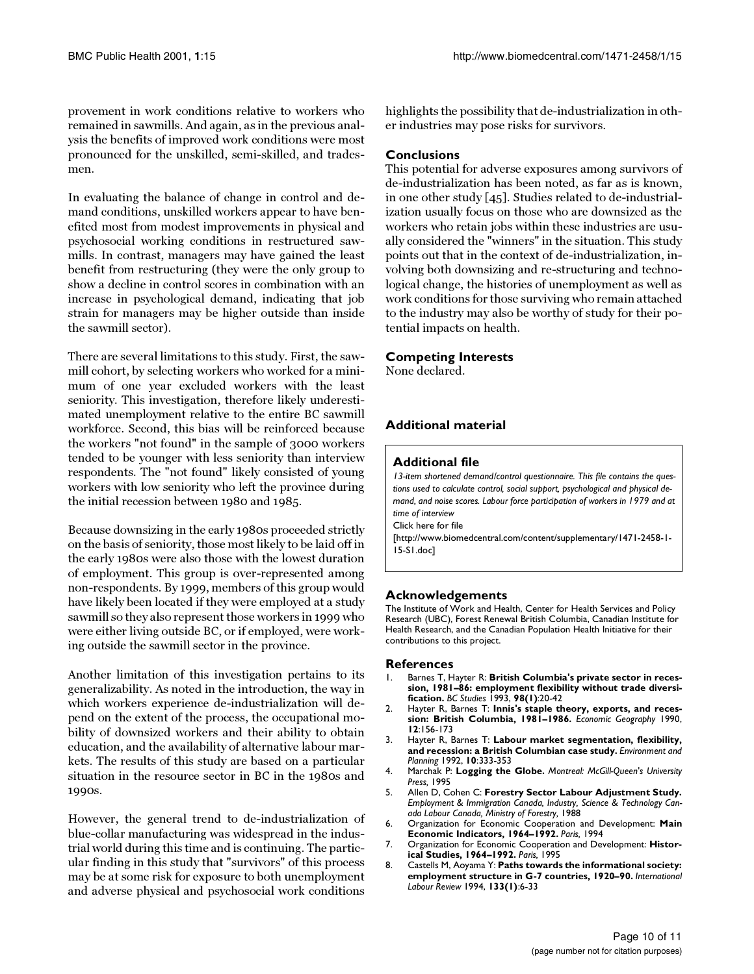provement in work conditions relative to workers who remained in sawmills. And again, as in the previous analysis the benefits of improved work conditions were most pronounced for the unskilled, semi-skilled, and tradesmen.

In evaluating the balance of change in control and demand conditions, unskilled workers appear to have benefited most from modest improvements in physical and psychosocial working conditions in restructured sawmills. In contrast, managers may have gained the least benefit from restructuring (they were the only group to show a decline in control scores in combination with an increase in psychological demand, indicating that job strain for managers may be higher outside than inside the sawmill sector).

There are several limitations to this study. First, the sawmill cohort, by selecting workers who worked for a minimum of one year excluded workers with the least seniority. This investigation, therefore likely underestimated unemployment relative to the entire BC sawmill workforce. Second, this bias will be reinforced because the workers "not found" in the sample of 3000 workers tended to be younger with less seniority than interview respondents. The "not found" likely consisted of young workers with low seniority who left the province during the initial recession between 1980 and 1985.

Because downsizing in the early 1980s proceeded strictly on the basis of seniority, those most likely to be laid off in the early 1980s were also those with the lowest duration of employment. This group is over-represented among non-respondents. By 1999, members of this group would have likely been located if they were employed at a study sawmill so they also represent those workers in 1999 who were either living outside BC, or if employed, were working outside the sawmill sector in the province.

Another limitation of this investigation pertains to its generalizability. As noted in the introduction, the way in which workers experience de-industrialization will depend on the extent of the process, the occupational mobility of downsized workers and their ability to obtain education, and the availability of alternative labour markets. The results of this study are based on a particular situation in the resource sector in BC in the 1980s and 1990s.

However, the general trend to de-industrialization of blue-collar manufacturing was widespread in the industrial world during this time and is continuing. The particular finding in this study that "survivors" of this process may be at some risk for exposure to both unemployment and adverse physical and psychosocial work conditions highlights the possibility that de-industrialization in other industries may pose risks for survivors.

#### **Conclusions**

This potential for adverse exposures among survivors of de-industrialization has been noted, as far as is known, in one other study [\[45](#page-10-31)]. Studies related to de-industrialization usually focus on those who are downsized as the workers who retain jobs within these industries are usually considered the "winners" in the situation. This study points out that in the context of de-industrialization, involving both downsizing and re-structuring and technological change, the histories of unemployment as well as work conditions for those surviving who remain attached to the industry may also be worthy of study for their potential impacts on health.

#### **Competing Interests**

None declared.

# **Additional material**

#### **Additional file**

*13-item shortened demand/control questionnaire. This file contains the questions used to calculate control, social support, psychological and physical demand, and noise scores. Labour force participation of workers in 1979 and at time of interview* [Click here for file](http://www.biomedcentral.com/content/supplementary/1471-2458-1-15-S1.doc)

[\[http://www.biomedcentral.com/content/supplementary/1471-2458-1-](http://www.biomedcentral.com/content/supplementary/1471-2458-1-15-S1.doc) 15-S1.doc]

# **Acknowledgements**

The Institute of Work and Health, Center for Health Services and Policy Research (UBC), Forest Renewal British Columbia, Canadian Institute for Health Research, and the Canadian Population Health Initiative for their contributions to this project.

#### **References**

- <span id="page-9-0"></span>1. Barnes T, Hayter R: **British Columbia's private sector in recession, 1981–86: employment flexibility without trade diversification.** *BC Studies* 1993, **98(1)**:20-42
- 2. Hayter R, Barnes T: **Innis's staple theory, exports, and recession: British Columbia, 1981–1986.** *Economic Geography* 1990, **12**:156-173
- <span id="page-9-1"></span>3. Hayter R, Barnes T: **Labour market segmentation, flexibility, and recession: a British Columbian case study.** *Environment and Planning* 1992, **10**:333-353
- <span id="page-9-2"></span>4. Marchak P: **Logging the Globe.** *Montreal: McGill-Queen's University Press,* 1995
- <span id="page-9-3"></span>5. Allen D, Cohen C: **Forestry Sector Labour Adjustment Study.** *Employment & Immigration Canada, Industry, Science & Technology Canada Labour Canada, Ministry of Forestry,* 1988
- <span id="page-9-4"></span>6. Organization for Economic Cooperation and Development: **Main Economic Indicators, 1964–1992.** *Paris,* 1994
- <span id="page-9-5"></span>7. Organization for Economic Cooperation and Development: **Historical Studies, 1964–1992.** *Paris,* 1995
- <span id="page-9-6"></span>8. Castells M, Aoyama Y: **Paths towards the informational society: employment structure in G-7 countries, 1920–90.** *International Labour Review* 1994, **133(1)**:6-33